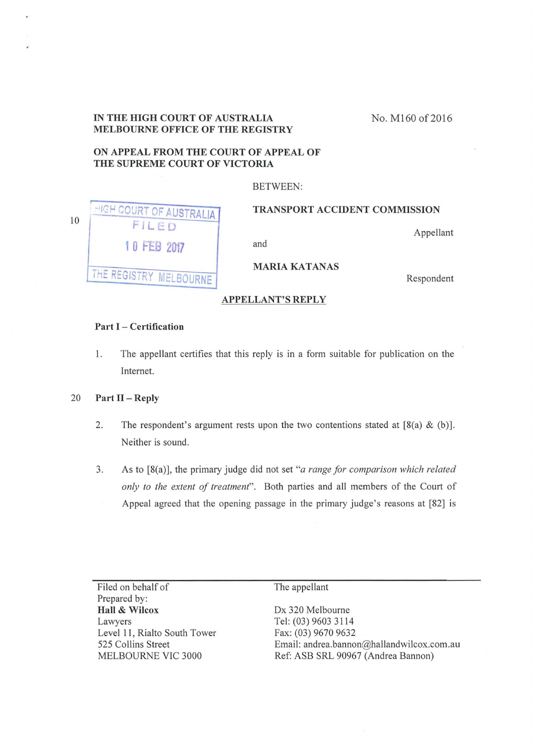# **IN THE HIGH COURT OF AUSTRALIA MELBOURNE OFFICE OF THE REGISTRY**

No. M160 of 2016

## **ON APPEAL FROM THE COURT OF APPEAL OF THE SUPREME COURT OF VICTORIA**

#### BETWEEN:

| 10 | HIGH COURT OF AUSTRALIA   | <b>TRANSPORT ACCIDENT COMMISSION</b> |
|----|---------------------------|--------------------------------------|
|    | FILED                     | Appellant                            |
|    | 10 FEB 2017               | and                                  |
|    |                           | <b>MARIA KATANAS</b>                 |
|    | (THE REGISTRY MELBOURNE ) | Respondent                           |

### **APPELLANT'S REPLY**

### **Part** I - **Certification**

1. The appellant certifies that this reply is in a form suitable for publication on the Internet.

### 20 **Part 11 -Reply**

- 2. The respondent's argument rests upon the two contentions stated at  $[8(a) \& (b)]$ . Neither is sound.
- 3. As to [8(a)], the primary judge did not set *"a range for comparison which related only to the extent of treatment".* Both parties and all members of the Court of Appeal agreed that the opening passage in the primary judge's reasons at [82] is

Filed on behalf of Prepared by: **Hall & Wilcox**  Lawyers Level **11,** Rialto South Tower 525 Collins Street MELBOURNE VIC 3000

The appellant

Dx 320 Melbourne Tel: (03) 9603 3114 Fax: (03) 9670 9632 Email: andrea.bannon@hallandwilcox.com.au Ref: ASB SRL 90967 (Andrea Bannon)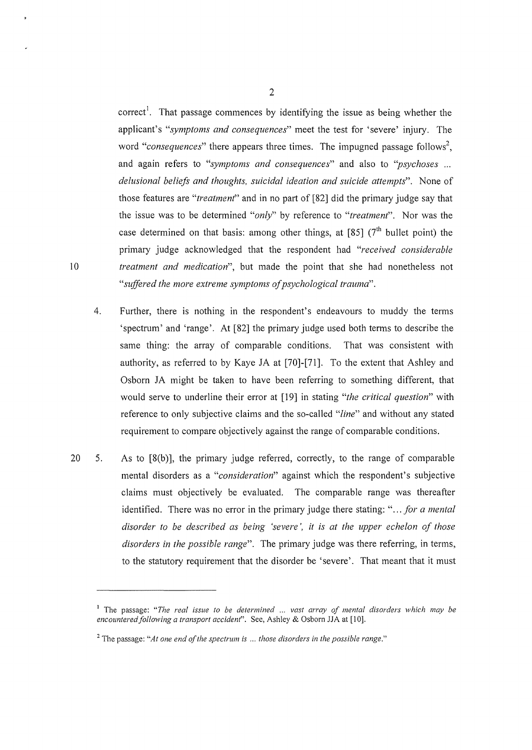correct<sup>1</sup>. That passage commences by identifying the issue as being whether the applicant's *"symptoms and consequences"* meet the test for 'severe' injury. The word "consequences" there appears three times. The impugned passage follows<sup>2</sup>, and again refers to *"symptoms and consequences"* and also to *''psychoses* ... *delusional beliefs and thoughts, suicidal ideation and suicide attempts".* None of those features are *"treatment"* and in no part of [82] did the primary judge say that the issue was to be determined *"only"* by reference to *"treatment".* Nor was the case determined on that basis: among other things, at [85] ( $7<sup>th</sup>$  bullet point) the primary judge acknowledged that the respondent had *"received considerable*  10 *treatment and medication",* but made the point that she had nonetheless not *"suffered the more extreme symptoms of psychological trauma".* 

- 4. Further, there is nothing in the respondent's endeavours to muddy the terms 'spectrum' and 'range'. At [82] the primary judge used both terms to describe the same thing: the array of comparable conditions. That was consistent with authority, as referred to by Kaye JA at [70]-[71]. To the extent that Ashley and Osborn JA might be taken to have been referring to something different, that would serve to underline their error at [19] in stating *"the critical question"* with reference to only subjective claims and the so-called *"line"* and without any stated requirement to compare objectively against the range of comparable conditions.
- 20 5. As to [8(b)], the primary judge referred, correctly, to the range of comparable mental disorders as a *"consideration"* against which the respondent's subjective claims must objectively be evaluated. The comparable range was thereafter identified. There was no error in the primary judge there stating: *" ... for a mental disorder to be described as being 'severe',* it *is at the upper echelon of those disorders in the possible range".* The primary judge was there referring, in terms, to the statutory requirement that the disorder be 'severe'. That meant that it must

2

<sup>1</sup>The passage: *"The real issue to be determined* ... *vast array of mental disorders which may be encountered following a transport accident*". See, Ashley & Osborn JJA at [10].

<sup>2</sup>The passage: *"At one end of the spectrum* is ... *those disorders in the possible range."*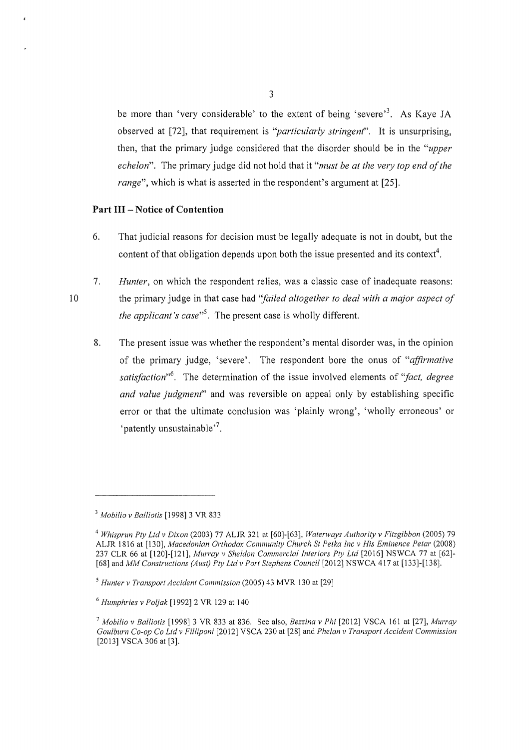be more than 'very considerable' to the extent of being 'severe'<sup>3</sup>. As Kaye JA observed at [72], that requirement is *"particularly stringent".* It is unsurprising, then, that the primary judge considered that the disorder should be in the *"upper echelon".* The primary judge did not hold that it *"must be at the very top end of the range*", which is what is asserted in the respondent's argument at [25].

### **Part Ill- Notice of Contention**

10

- 6. That judicial reasons for decision must be legally adequate is not in doubt, but the content of that obligation depends upon both the issue presented and its context<sup>4</sup>.
- 7. *Hunter,* on which the respondent relies, was a classic case of inadequate reasons: the primary judge in that case had *"failed altogether to deal with a major aspect of the applicant's case"<sup>5</sup> .* The present case is wholly different.
	- 8. The present issue was whether the respondent's mental disorder was, in the opinion of the primary judge, 'severe'. The respondent bore the onus of *"affirmative satisfaction"*<sup>6</sup> . The determination of the issue involved elements of *"fact, degree and value judgment"* and was reversible on appeal only by establishing specific error or that the ultimate conclusion was 'plainly wrong', 'wholly erroneous' or 'patently unsustainable'<sup>7</sup>.

<sup>3</sup>*Mobilia v Balliotis* [1998] 3 VR 833

<sup>4</sup>*Whisprun Pty Ltd v Dixon* (2003) 77 ALJR 321 at [60]-[63], *Waterways Authority v Fitzgibbon* (2005) 79 ALJR 1816 at [130], *Macedonian Orthodox Community Church St Petka !ne v His Eminence Petar* (2008) 237 CLR 66 at [120)-[121), *Murray v She/don Commercial Interiors Pty Ltd* [2016) NSWCA 77 at [62)- [68] and *MM Constructions (Aust) Pty Ltd v Port Stephens Council* [2012] NSWCA 417 at [133]-[138].

<sup>5</sup>*Hunter v Transport Accident Commission* (2005) 43 MVR 130 at [29)

<sup>6</sup>*Humphries v Poljak* [1992) 2 VR 129 at 140

<sup>7</sup>*Mobilia v Balliotis* [1998) 3 VR 833 at 836. See also, *Bezzina v Phi* [2012] VSCA 161 at [27], *Murray Goulburn Co-op Co Ltd v Filliponi* [2012] VSCA 230 at [28] and *Phelan v Transport Accident Commission*  [2013] VSCA 306 at [3].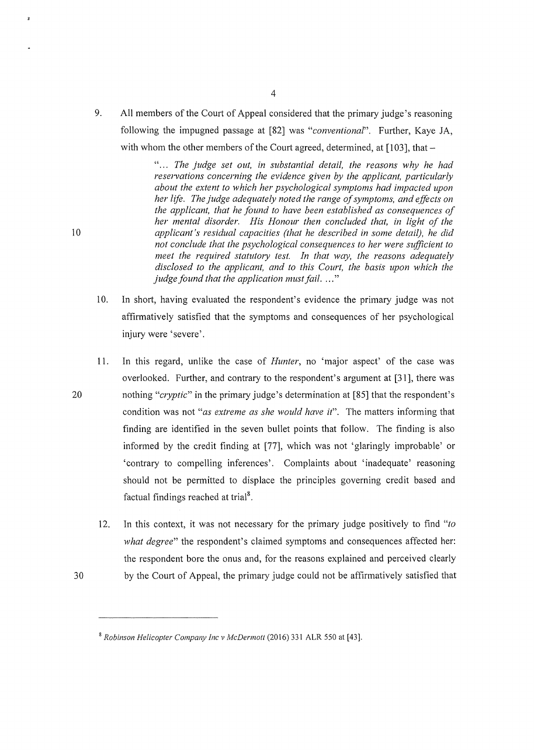9. All members of the Court of Appeal considered that the primary judge's reasoning following the impugned passage at [82] was *"conventional".* Further, Kaye JA, with whom the other members of the Court agreed, determined, at  $[103]$ , that -

" ... *The judge set out, in substantial detail, the reasons why he had reservations concerning the evidence given by the applicant, particularly about the extent to which her p;,ychological ;,ymptoms had impacted upon her life. The judge adequately noted the range of symptoms, and efficts on the applicant, that he found to have been established as consequences of her mental disorder. His Honour then concluded that, in light of the*  10 *applicant's residual capacities (that he described in some detail), he did not conclude that the psychological consequences to her were sufficient to meet the required statutory test. In that way, the reasons adequately disclosed to the applicant, and to this Court, the basis upon which the judge found that the application must fail .* ... "

- 10. In short, having evaluated the respondent's evidence the primary judge was not affirmatively satisfied that the symptoms and consequences of her psychological injury were 'severe'.
- 11. In this regard, unlike the case of *Hunter,* no 'major aspect' of the case was overlooked. Further, and contrary to the respondent's argument at [31 ], there was 20 nothing *"cryptic"* in the primary judge's determination at [85] that the respondent's condition was not *"as extreme as she would have it".* The matters informing that finding are identified in the seven bullet points that follow. The finding is also informed by the credit finding at [77], which was not 'glaringly improbable' or 'contrary to compelling inferences'. Complaints about 'inadequate' reasoning should not be permitted to displace the principles governing credit based and factual findings reached at trial<sup>8</sup>.
	- 12. In this context, it was not necessary for the primary judge positively to find *"to what degree"* the respondent's claimed symptoms and consequences affected her: the respondent bore the onus and, for the reasons explained and perceived clearly
- 30 by the Court of Appeal, the primary judge could not be affirmatively satisfied that

 $\boldsymbol{\mathrm{x}}$ 

<sup>8</sup>*Robinson Helicopter Company !ne v McDermott* (2016) 331 ALR 550 at [43].